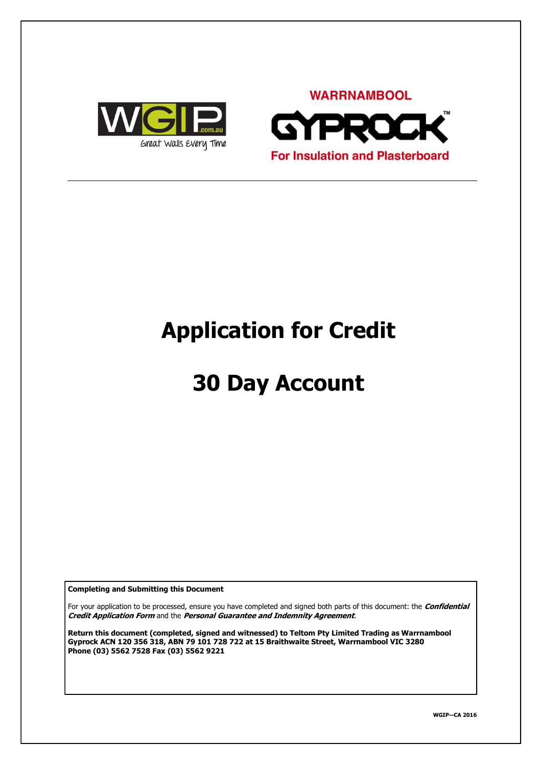



# **Application for Credit**

# **30 Day Account**

**Completing and Submitting this Document**

For your application to be processed, ensure you have completed and signed both parts of this document: the **Confidential Credit Application Form** and the **Personal Guarantee and Indemnity Agreement**.

**Return this document (completed, signed and witnessed) to Teltom Pty Limited Trading as Warrnambool Gyprock ACN 120 356 318, ABN 79 101 728 722 at 15 Braithwaite Street, Warrnambool VIC 3280 Phone (03) 5562 7528 Fax (03) 5562 9221**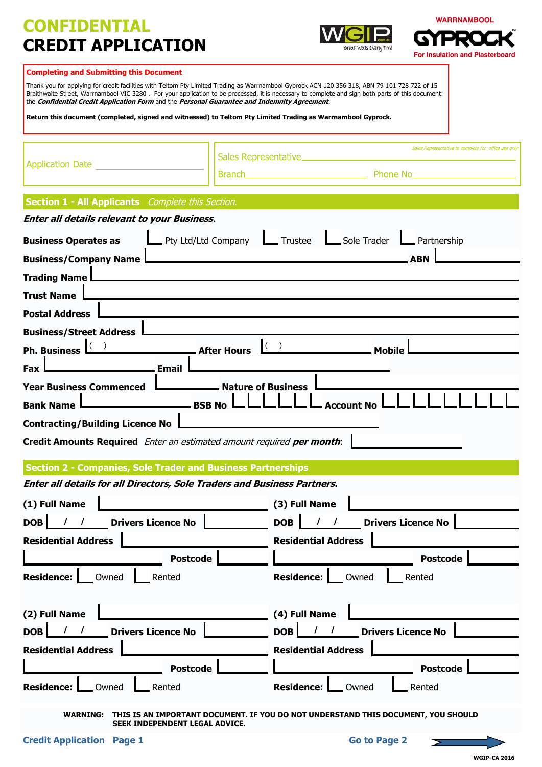# **CONFIDENTIAL CREDIT APPLICATION**





#### **Completing and Submitting this Document**

Thank you for applying for credit facilities with Teltom Pty Limited Trading as Warrnambool Gyprock ACN 120 356 318, ABN 79 101 728 722 of 15 Braithwaite Street, Warrnambool VIC 3280 . For your application to be processed, it is necessary to complete and sign both parts of this document: the **Confidential Credit Application Form** and the **Personal Guarantee and Indemnity Agreement**. **Return this document (completed, signed and witnessed) to Teltom Pty Limited Trading as Warrnambool Gyprock.** s Representative to complete for office use only Sales Representative Application Date

Branch **Phone No. 2018** 

### **Enter all details for all Directors, Sole Traders and Business Partners. Enter all details relevant to your Business**. **Business Operates as Let Allen Pty Ltd/Ltd Company Let Trustee Let Sole Trader Let Partnership Business/Company Name ABN Trading Name Trust Name Postal Address Business/Street Address** Ph. Business  $\underbrace{?}$  Mobile **After Hours**  $\underbrace{?}$  Mobile Fax **Email Year Business Commenced Leagen League Service Service Susiness Bank Name**  $\Box$  **BSB No**  $\Box$  $\Box$  $\Box$  $\Box$   $\Box$   $\Box$  Account N **Contracting/Building Licence No Credit Amounts Required** Enter an estimated amount required **per month**: **Section 1 - All Applicants** *Complete this Section.* **After Hours Section 2 - Companies, Sole Trader and Business Partnerships (1) Full Name DOB** | / / **Drivers Licence No Residential Address / / (3) Full Name DOB** | / / **Drivers Licence No Residential Address / /**

 **Postcode Residence:** Owned **Rented (2) Full Name DOB** |  $\frac{1}{2}$  | Drivers Licence No **Residential Address Postcode Residence:** Owned **Rented / / Postcode Residence:** Owned **Rented (4) Full Name DOB** |  $\frac{1}{2}$  | Drivers Licence No **Residential Address Postcode Residence:** Owned **Rented / /**

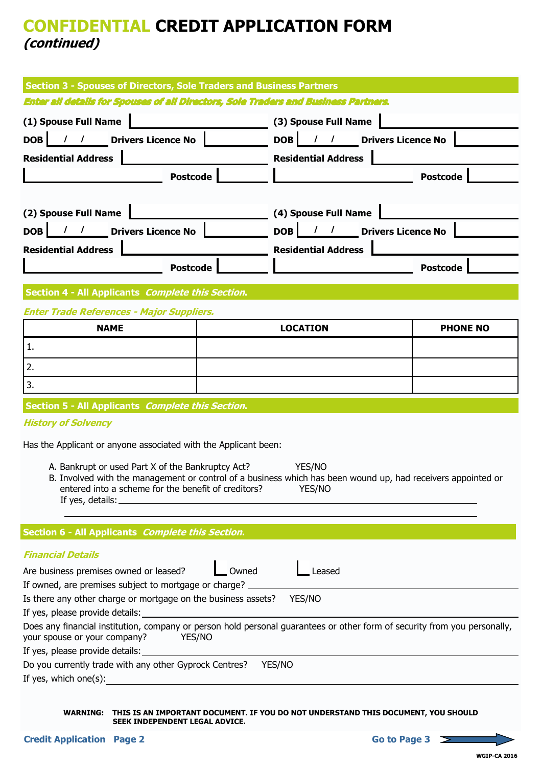## **CONFIDENTIAL CREDIT APPLICATION FORM (continued)**

| <b>Section 3 - Spouses of Directors, Sole Traders and Business Partners</b>                                                                                                                                                                                                                                  |                              |                           |  |  |
|--------------------------------------------------------------------------------------------------------------------------------------------------------------------------------------------------------------------------------------------------------------------------------------------------------------|------------------------------|---------------------------|--|--|
| <b>Enter all details for Spouses of all Directors, Sole Traders and Business Partners.</b>                                                                                                                                                                                                                   |                              |                           |  |  |
| (1) Spouse Full Name                                                                                                                                                                                                                                                                                         | (3) Spouse Full Name         |                           |  |  |
| DOB  <br><b>Drivers Licence No</b><br>$\begin{array}{ccc} & I & \end{array}$                                                                                                                                                                                                                                 | $DOB$ / /                    | <b>Drivers Licence No</b> |  |  |
| <b>Residential Address</b>                                                                                                                                                                                                                                                                                   | <b>Residential Address</b>   |                           |  |  |
| <b>Postcode</b>                                                                                                                                                                                                                                                                                              |                              | <b>Postcode</b>           |  |  |
|                                                                                                                                                                                                                                                                                                              |                              |                           |  |  |
| (2) Spouse Full Name                                                                                                                                                                                                                                                                                         | (4) Spouse Full Name         |                           |  |  |
| / / Drivers Licence No<br>DOB                                                                                                                                                                                                                                                                                | DOB   / / Drivers Licence No |                           |  |  |
|                                                                                                                                                                                                                                                                                                              | <b>Residential Address</b>   |                           |  |  |
| <b>Residential Address</b>                                                                                                                                                                                                                                                                                   |                              |                           |  |  |
| <b>Postcode</b>                                                                                                                                                                                                                                                                                              |                              | <b>Postcode</b>           |  |  |
| Section 4 - All Applicants Complete this Section.                                                                                                                                                                                                                                                            |                              |                           |  |  |
| <b>Enter Trade References - Major Suppliers.</b>                                                                                                                                                                                                                                                             |                              |                           |  |  |
| <b>NAME</b>                                                                                                                                                                                                                                                                                                  | <b>LOCATION</b>              | <b>PHONE NO</b>           |  |  |
| 1.                                                                                                                                                                                                                                                                                                           |                              |                           |  |  |
| 2.                                                                                                                                                                                                                                                                                                           |                              |                           |  |  |
| 3.                                                                                                                                                                                                                                                                                                           |                              |                           |  |  |
| Section 5 - All Applicants Complete this Section.                                                                                                                                                                                                                                                            |                              |                           |  |  |
| <b>History of Solvency</b>                                                                                                                                                                                                                                                                                   |                              |                           |  |  |
|                                                                                                                                                                                                                                                                                                              |                              |                           |  |  |
| Has the Applicant or anyone associated with the Applicant been:<br>A. Bankrupt or used Part X of the Bankruptcy Act? YES/NO<br>B. Involved with the management or control of a business which has been wound up, had receivers appointed or<br>entered into a scheme for the benefit of creditors?<br>YES/NO |                              |                           |  |  |
| Section 6 - All Applicants Complete this Section.                                                                                                                                                                                                                                                            |                              |                           |  |  |
| <b>Financial Details</b>                                                                                                                                                                                                                                                                                     |                              |                           |  |  |
| Are business premises owned or leased?                                                                                                                                                                                                                                                                       | Owned<br>Leased              |                           |  |  |
| If owned, are premises subject to mortgage or charge?                                                                                                                                                                                                                                                        |                              |                           |  |  |
| Is there any other charge or mortgage on the business assets? YES/NO                                                                                                                                                                                                                                         |                              |                           |  |  |
|                                                                                                                                                                                                                                                                                                              |                              |                           |  |  |
| Does any financial institution, company or person hold personal guarantees or other form of security from you personally,<br>YES/NO<br>your spouse or your company?                                                                                                                                          |                              |                           |  |  |
| If yes, please provide details:                                                                                                                                                                                                                                                                              |                              |                           |  |  |
| Do you currently trade with any other Gyprock Centres?<br>YES/NO                                                                                                                                                                                                                                             |                              |                           |  |  |
| If yes, which one(s): $\sqrt{\frac{2}{1-\frac{1}{2}} + \frac{1}{2-\frac{1}{2}}}$                                                                                                                                                                                                                             |                              |                           |  |  |
|                                                                                                                                                                                                                                                                                                              |                              |                           |  |  |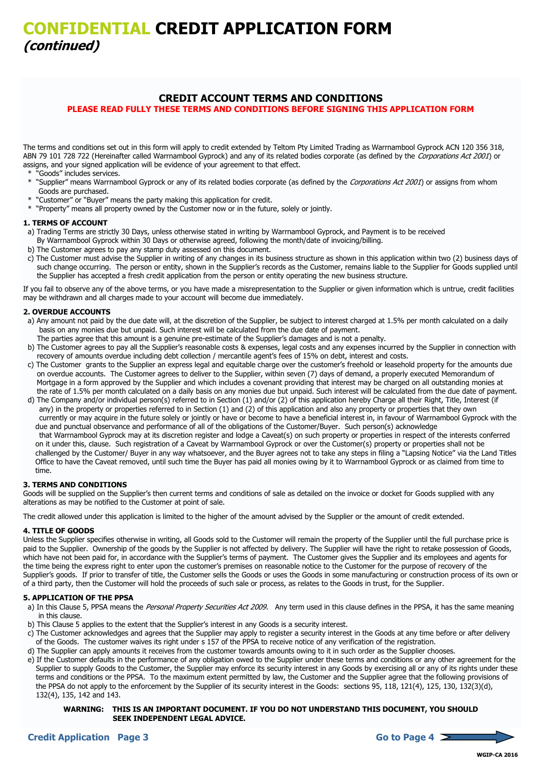#### **CREDIT ACCOUNT TERMS AND CONDITIONS PLEASE READ FULLY THESE TERMS AND CONDITIONS BEFORE SIGNING THIS APPLICATION FORM**

The terms and conditions set out in this form will apply to credit extended by Teltom Pty Limited Trading as Warrnambool Gyprock ACN 120 356 318, ABN 79 101 728 722 (Hereinafter called Warrnambool Gyprock) and any of its related bodies corporate (as defined by the Corporations Act 2001) or assigns, and your signed application will be evidence of your agreement to that effect.

- \* "Goods" includes services.
- \* "Supplier" means Warrnambool Gyprock or any of its related bodies corporate (as defined by the Corporations Act 2001) or assigns from whom Goods are purchased.
- \* "Customer" or "Buyer" means the party making this application for credit.
- \* "Property" means all property owned by the Customer now or in the future, solely or jointly.

#### **1. TERMS OF ACCOUNT**

- a) Trading Terms are strictly 30 Days, unless otherwise stated in writing by Warrnambool Gyprock, and Payment is to be received
- By Warrnambool Gyprock within 30 Days or otherwise agreed, following the month/date of invoicing/billing.
- b) The Customer agrees to pay any stamp duty assessed on this document.
- c) The Customer must advise the Supplier in writing of any changes in its business structure as shown in this application within two (2) business days of such change occurring. The person or entity, shown in the Supplier's records as the Customer, remains liable to the Supplier for Goods supplied until the Supplier has accepted a fresh credit application from the person or entity operating the new business structure.

If you fail to observe any of the above terms, or you have made a misrepresentation to the Supplier or given information which is untrue, credit facilities may be withdrawn and all charges made to your account will become due immediately.

#### **2. OVERDUE ACCOUNTS**

- a) Any amount not paid by the due date will, at the discretion of the Supplier, be subject to interest charged at 1.5% per month calculated on a daily basis on any monies due but unpaid. Such interest will be calculated from the due date of payment.
- The parties agree that this amount is a genuine pre-estimate of the Supplier's damages and is not a penalty.
- b) The Customer agrees to pay all the Supplier's reasonable costs & expenses, legal costs and any expenses incurred by the Supplier in connection with recovery of amounts overdue including debt collection / mercantile agent's fees of 15% on debt, interest and costs.
- c) The Customer grants to the Supplier an express legal and equitable charge over the customer's freehold or leasehold property for the amounts due on overdue accounts. The Customer agrees to deliver to the Supplier, within seven (7) days of demand, a properly executed Memorandum of Mortgage in a form approved by the Supplier and which includes a covenant providing that interest may be charged on all outstanding monies at the rate of 1.5% per month calculated on a daily basis on any monies due but unpaid. Such interest will be calculated from the due date of payment.
- d) The Company and/or individual person(s) referred to in Section (1) and/or (2) of this application hereby Charge all their Right, Title, Interest (if any) in the property or properties referred to in Section (1) and (2) of this application and also any property or properties that they own currently or may acquire in the future solely or jointly or have or become to have a beneficial interest in, in favour of Warrnambool Gyprock with the due and punctual observance and performance of all of the obligations of the Customer/Buyer. Such person(s) acknowledge that Warrnambool Gyprock may at its discretion register and lodge a Caveat(s) on such property or properties in respect of the interests conferred on it under this, clause. Such registration of a Caveat by Warrnambool Gyprock or over the Customer(s) property or properties shall not be challenged by the Customer/ Buyer in any way whatsoever, and the Buyer agrees not to take any steps in filing a "Lapsing Notice" via the Land Titles Office to have the Caveat removed, until such time the Buyer has paid all monies owing by it to Warrnambool Gyprock or as claimed from time to time.

#### **3. TERMS AND CONDITIONS**

Goods will be supplied on the Supplier's then current terms and conditions of sale as detailed on the invoice or docket for Goods supplied with any alterations as may be notified to the Customer at point of sale.

The credit allowed under this application is limited to the higher of the amount advised by the Supplier or the amount of credit extended.

#### **4. TITLE OF GOODS**

Unless the Supplier specifies otherwise in writing, all Goods sold to the Customer will remain the property of the Supplier until the full purchase price is paid to the Supplier. Ownership of the goods by the Supplier is not affected by delivery. The Supplier will have the right to retake possession of Goods, which have not been paid for, in accordance with the Supplier's terms of payment. The Customer gives the Supplier and its employees and agents for the time being the express right to enter upon the customer's premises on reasonable notice to the Customer for the purpose of recovery of the Supplier's goods. If prior to transfer of title, the Customer sells the Goods or uses the Goods in some manufacturing or construction process of its own or of a third party, then the Customer will hold the proceeds of such sale or process, as relates to the Goods in trust, for the Supplier.

#### **5. APPLICATION OF THE PPSA**

- a) In this Clause 5, PPSA means the Personal Property Securities Act 2009. Any term used in this clause defines in the PPSA, it has the same meaning in this clause.
- b) This Clause 5 applies to the extent that the Supplier's interest in any Goods is a security interest.
- c) The Customer acknowledges and agrees that the Supplier may apply to register a security interest in the Goods at any time before or after delivery of the Goods. The customer waives its right under s 157 of the PPSA to receive notice of any verification of the registration.
- d) The Supplier can apply amounts it receives from the customer towards amounts owing to it in such order as the Supplier chooses.
- e) If the Customer defaults in the performance of any obligation owed to the Supplier under these terms and conditions or any other agreement for the Supplier to supply Goods to the Customer, the Supplier may enforce its security interest in any Goods by exercising all or any of its rights under these terms and conditions or the PPSA. To the maximum extent permitted by law, the Customer and the Supplier agree that the following provisions of the PPSA do not apply to the enforcement by the Supplier of its security interest in the Goods: sections 95, 118, 121(4), 125, 130, 132(3)(d), 132(4), 135, 142 and 143.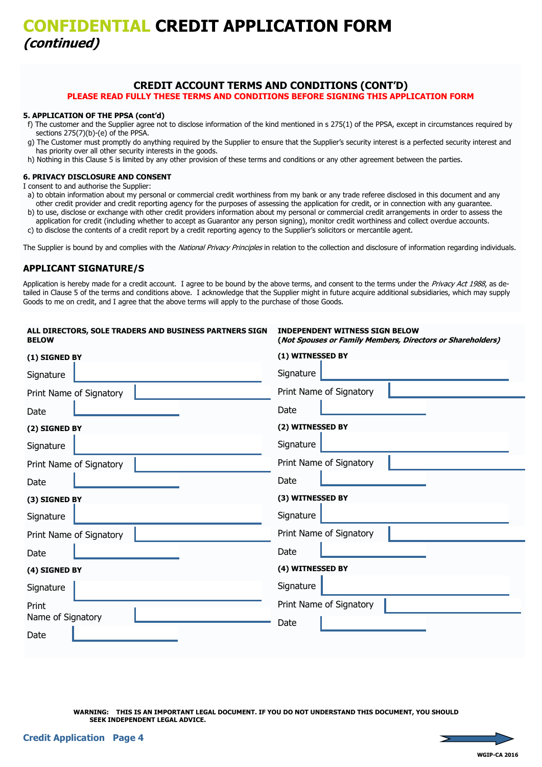## **CONFIDENTIAL CREDIT APPLICATION FORM (continued)**

#### **CREDIT ACCOUNT TERMS AND CONDITIONS (CONT'D) PLEASE READ FULLY THESE TERMS AND CONDITIONS BEFORE SIGNING THIS APPLICATION FORM**

#### **5. APPLICATION OF THE PPSA (cont'd)**

- f) The customer and the Supplier agree not to disclose information of the kind mentioned in s 275(1) of the PPSA, except in circumstances required by sections 275(7)(b)-(e) of the PPSA.
- g) The Customer must promptly do anything required by the Supplier to ensure that the Supplier's security interest is a perfected security interest and has priority over all other security interests in the goods.
- h) Nothing in this Clause 5 is limited by any other provision of these terms and conditions or any other agreement between the parties.

#### **6. PRIVACY DISCLOSURE AND CONSENT**

I consent to and authorise the Supplier:

- a) to obtain information about my personal or commercial credit worthiness from my bank or any trade referee disclosed in this document and any other credit provider and credit reporting agency for the purposes of assessing the application for credit, or in connection with any guarantee.
- b) to use, disclose or exchange with other credit providers information about my personal or commercial credit arrangements in order to assess the application for credit (including whether to accept as Guarantor any person signing), monitor credit worthiness and collect overdue accounts.
- c) to disclose the contents of a credit report by a credit reporting agency to the Supplier's solicitors or mercantile agent.

The Supplier is bound by and complies with the National Privacy Principles in relation to the collection and disclosure of information regarding individuals.

#### **APPLICANT SIGNATURE/S**

Application is hereby made for a credit account. I agree to be bound by the above terms, and consent to the terms under the Privacy Act 1988, as detailed in Clause 5 of the terms and conditions above. I acknowledge that the Supplier might in future acquire additional subsidiaries, which may supply Goods to me on credit, and I agree that the above terms will apply to the purchase of those Goods.

| <b>INDEPENDENT WITNESS SIGN BELOW</b><br>(Not Spouses or Family Members, Directors or Shareholders) |
|-----------------------------------------------------------------------------------------------------|
| (1) WITNESSED BY                                                                                    |
| Signature                                                                                           |
| Print Name of Signatory                                                                             |
| Date                                                                                                |
| (2) WITNESSED BY                                                                                    |
| Signature                                                                                           |
| Print Name of Signatory                                                                             |
| Date                                                                                                |
| (3) WITNESSED BY                                                                                    |
| Signature                                                                                           |
| Print Name of Signatory                                                                             |
| Date                                                                                                |
| (4) WITNESSED BY                                                                                    |
| Signature                                                                                           |
| Print Name of Signatory                                                                             |
| Date                                                                                                |
|                                                                                                     |
|                                                                                                     |

**WARNING: THIS IS AN IMPORTANT LEGAL DOCUMENT. IF YOU DO NOT UNDERSTAND THIS DOCUMENT, YOU SHOULD SEEK INDEPENDENT LEGAL ADVICE.**

**WGIP-CA 2016**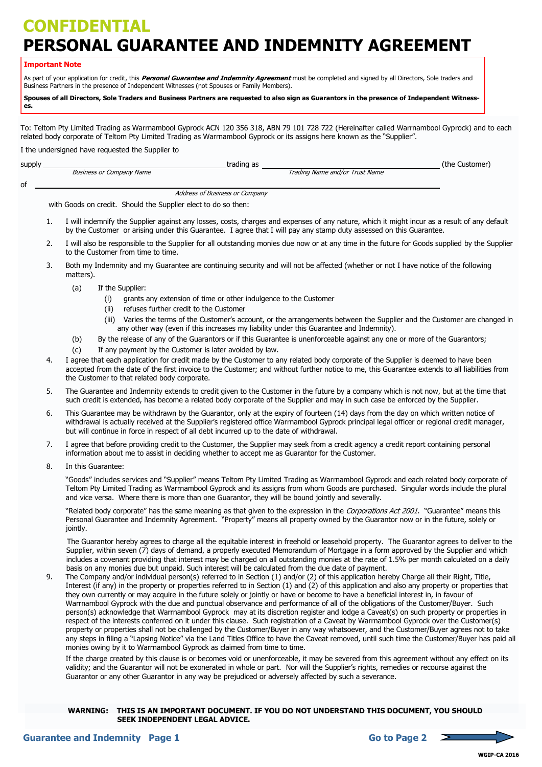# **CONFIDENTIAL PERSONAL GUARANTEE AND INDEMNITY AGREEMENT**

#### **Important Note**

As part of your application for credit, this **Personal Guarantee and Indemnity Agreement** must be completed and signed by all Directors, Sole traders and Business Partners in the presence of Independent Witnesses (not Spouses or Family Members).

**Spouses of all Directors, Sole Traders and Business Partners are requested to also sign as Guarantors in the presence of Independent Witnesses.**

To: Teltom Pty Limited Trading as Warrnambool Gyprock ACN 120 356 318, ABN 79 101 728 722 (Hereinafter called Warrnambool Gyprock) and to each related body corporate of Teltom Pty Limited Trading as Warrnambool Gyprock or its assigns here known as the "Supplier".

I the undersigned have requested the Supplier to

| supply                         |                                                                | trading as                     | (the Customer) |
|--------------------------------|----------------------------------------------------------------|--------------------------------|----------------|
|                                | <b>Business or Company Name</b>                                | Trading Name and/or Trust Name |                |
| of                             |                                                                |                                |                |
| Address of Business or Company |                                                                |                                |                |
|                                | with Goods on credit. Should the Supplier elect to do so then: |                                |                |

- 1. I will indemnify the Supplier against any losses, costs, charges and expenses of any nature, which it might incur as a result of any default by the Customer or arising under this Guarantee. I agree that I will pay any stamp duty assessed on this Guarantee.
- 2. I will also be responsible to the Supplier for all outstanding monies due now or at any time in the future for Goods supplied by the Supplier to the Customer from time to time.
- 3. Both my Indemnity and my Guarantee are continuing security and will not be affected (whether or not I have notice of the following matters).
	- (a) If the Supplier:
		- (i) grants any extension of time or other indulgence to the Customer
		- (ii) refuses further credit to the Customer
		- (iii) Varies the terms of the Customer's account, or the arrangements between the Supplier and the Customer are changed in any other way (even if this increases my liability under this Guarantee and Indemnity).
	- (b) By the release of any of the Guarantors or if this Guarantee is unenforceable against any one or more of the Guarantors;
	- (c) If any payment by the Customer is later avoided by law.
- 4. I agree that each application for credit made by the Customer to any related body corporate of the Supplier is deemed to have been accepted from the date of the first invoice to the Customer; and without further notice to me, this Guarantee extends to all liabilities from the Customer to that related body corporate.
- 5. The Guarantee and Indemnity extends to credit given to the Customer in the future by a company which is not now, but at the time that such credit is extended, has become a related body corporate of the Supplier and may in such case be enforced by the Supplier.
- 6. This Guarantee may be withdrawn by the Guarantor, only at the expiry of fourteen (14) days from the day on which written notice of withdrawal is actually received at the Supplier's registered office Warrnambool Gyprock principal legal officer or regional credit manager, but will continue in force in respect of all debt incurred up to the date of withdrawal.
- 7. I agree that before providing credit to the Customer, the Supplier may seek from a credit agency a credit report containing personal information about me to assist in deciding whether to accept me as Guarantor for the Customer.
- 8. In this Guarantee:

"Goods" includes services and "Supplier" means Teltom Pty Limited Trading as Warrnambool Gyprock and each related body corporate of Teltom Pty Limited Trading as Warrnambool Gyprock and its assigns from whom Goods are purchased. Singular words include the plural and vice versa. Where there is more than one Guarantor, they will be bound jointly and severally.

"Related body corporate" has the same meaning as that given to the expression in the Corporations Act 2001. "Guarantee" means this Personal Guarantee and Indemnity Agreement. "Property" means all property owned by the Guarantor now or in the future, solely or jointly.

 The Guarantor hereby agrees to charge all the equitable interest in freehold or leasehold property. The Guarantor agrees to deliver to the Supplier, within seven (7) days of demand, a properly executed Memorandum of Mortgage in a form approved by the Supplier and which includes a covenant providing that interest may be charged on all outstanding monies at the rate of 1.5% per month calculated on a daily basis on any monies due but unpaid. Such interest will be calculated from the due date of payment.

9. The Company and/or individual person(s) referred to in Section (1) and/or (2) of this application hereby Charge all their Right, Title, Interest (if any) in the property or properties referred to in Section (1) and (2) of this application and also any property or properties that they own currently or may acquire in the future solely or jointly or have or become to have a beneficial interest in, in favour of Warrnambool Gyprock with the due and punctual observance and performance of all of the obligations of the Customer/Buyer. Such person(s) acknowledge that Warrnambool Gyprock may at its discretion register and lodge a Caveat(s) on such property or properties in respect of the interests conferred on it under this clause. Such registration of a Caveat by Warrnambool Gyprock over the Customer(s) property or properties shall not be challenged by the Customer/Buyer in any way whatsoever, and the Customer/Buyer agrees not to take any steps in filing a "Lapsing Notice" via the Land Titles Office to have the Caveat removed, until such time the Customer/Buyer has paid all monies owing by it to Warrnambool Gyprock as claimed from time to time.

If the charge created by this clause is or becomes void or unenforceable, it may be severed from this agreement without any effect on its validity; and the Guarantor will not be exonerated in whole or part. Nor will the Supplier's rights, remedies or recourse against the Guarantor or any other Guarantor in any way be prejudiced or adversely affected by such a severance.